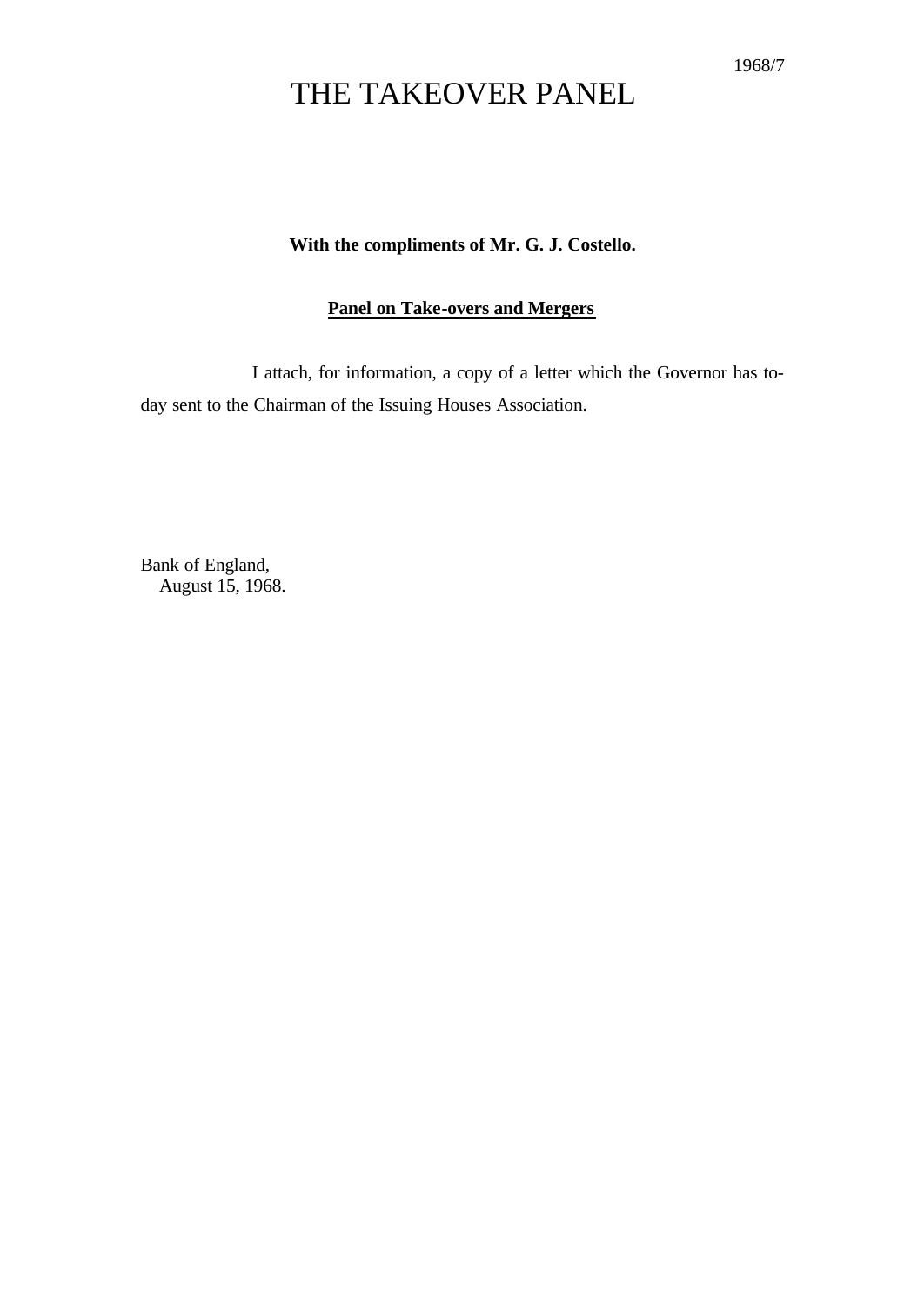#### 1968/7

# THE TAKEOVER PANEL

### **With the compliments of Mr. G. J. Costello.**

## **Panel on Take-overs and Mergers**

I attach, for information, a copy of a letter which the Governor has today sent to the Chairman of the Issuing Houses Association.

Bank of England, August 15, 1968.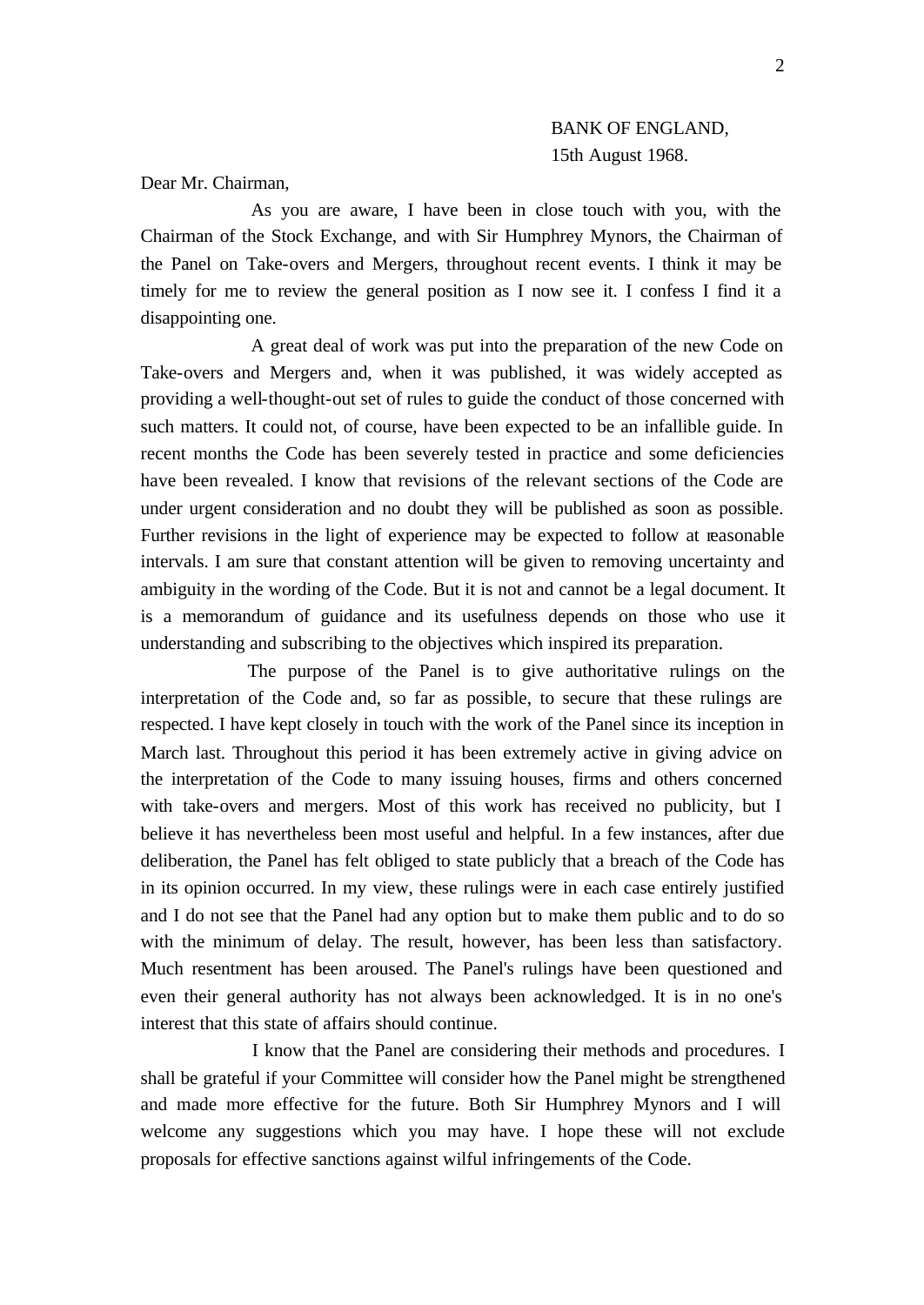# BANK OF ENGLAND, 15th August 1968.

Dear Mr. Chairman,

As you are aware, I have been in close touch with you, with the Chairman of the Stock Exchange, and with Sir Humphrey Mynors, the Chairman of the Panel on Take-overs and Mergers, throughout recent events. I think it may be timely for me to review the general position as I now see it. I confess I find it a disappointing one.

A great deal of work was put into the preparation of the new Code on Take-overs and Mergers and, when it was published, it was widely accepted as providing a well-thought-out set of rules to guide the conduct of those concerned with such matters. It could not, of course, have been expected to be an infallible guide. In recent months the Code has been severely tested in practice and some deficiencies have been revealed. I know that revisions of the relevant sections of the Code are under urgent consideration and no doubt they will be published as soon as possible. Further revisions in the light of experience may be expected to follow at reasonable intervals. I am sure that constant attention will be given to removing uncertainty and ambiguity in the wording of the Code. But it is not and cannot be a legal document. It is a memorandum of guidance and its usefulness depends on those who use it understanding and subscribing to the objectives which inspired its preparation.

The purpose of the Panel is to give authoritative rulings on the interpretation of the Code and, so far as possible, to secure that these rulings are respected. I have kept closely in touch with the work of the Panel since its inception in March last. Throughout this period it has been extremely active in giving advice on the interpretation of the Code to many issuing houses, firms and others concerned with take-overs and mergers. Most of this work has received no publicity, but I believe it has nevertheless been most useful and helpful. In a few instances, after due deliberation, the Panel has felt obliged to state publicly that a breach of the Code has in its opinion occurred. In my view, these rulings were in each case entirely justified and I do not see that the Panel had any option but to make them public and to do so with the minimum of delay. The result, however, has been less than satisfactory. Much resentment has been aroused. The Panel's rulings have been questioned and even their general authority has not always been acknowledged. It is in no one's interest that this state of affairs should continue.

I know that the Panel are considering their methods and procedures. I shall be grateful if your Committee will consider how the Panel might be strengthened and made more effective for the future. Both Sir Humphrey Mynors and I will welcome any suggestions which you may have. I hope these will not exclude proposals for effective sanctions against wilful infringements of the Code.